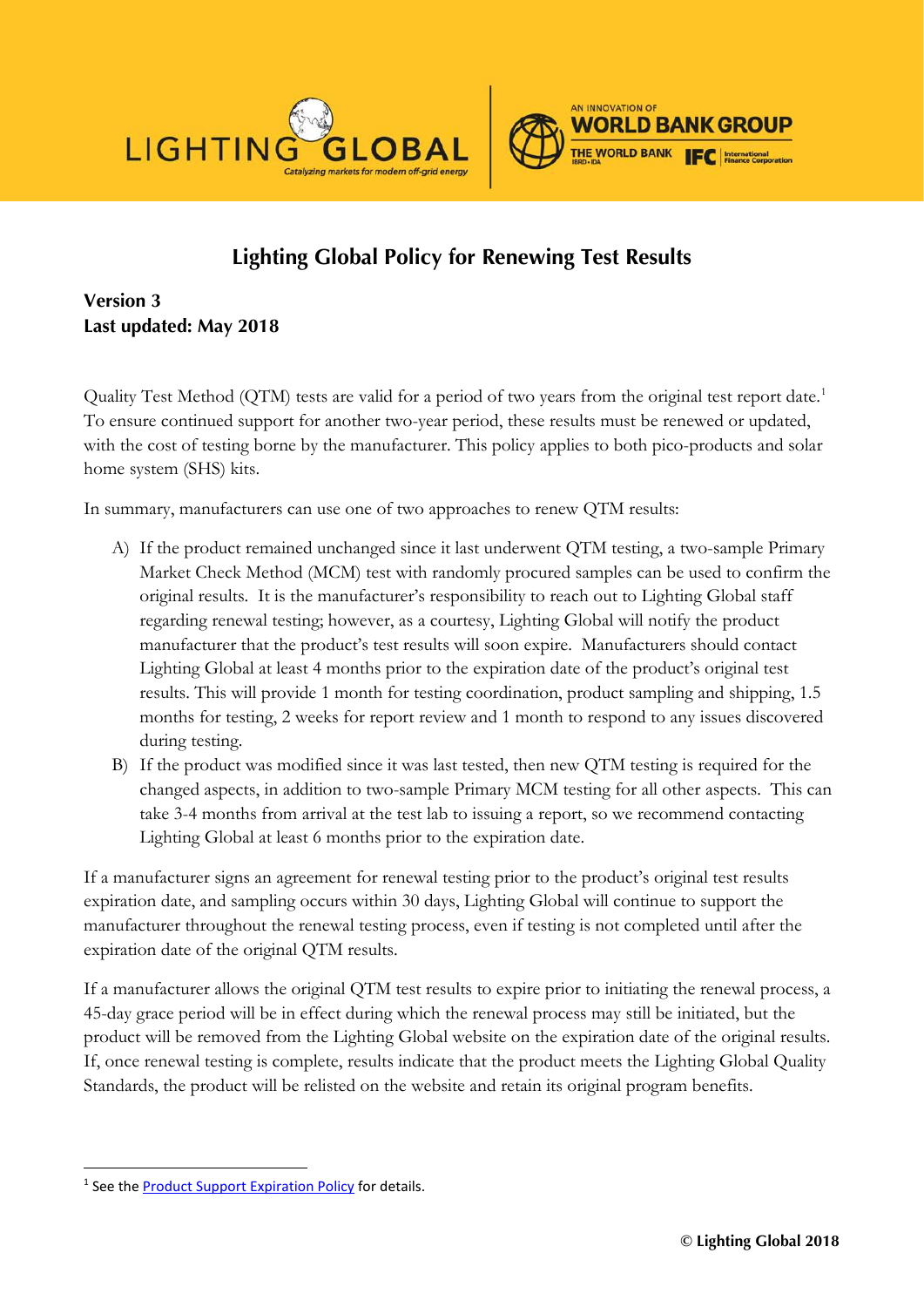

# **Lighting Global Policy for Renewing Test Results**

**Version 3 Last updated: May 2018**

Quality Test Method (QTM) tests are valid for a period of two years from the original test report date.<sup>[1](#page-0-0)</sup> To ensure continued support for another two-year period, these results must be renewed or updated, with the cost of testing borne by the manufacturer. This policy applies to both pico-products and solar home system (SHS) kits.

In summary, manufacturers can use one of two approaches to renew QTM results:

- A) If the product remained unchanged since it last underwent QTM testing, a two-sample Primary Market Check Method (MCM) test with randomly procured samples can be used to confirm the original results. It is the manufacturer's responsibility to reach out to Lighting Global staff regarding renewal testing; however, as a courtesy, Lighting Global will notify the product manufacturer that the product's test results will soon expire. Manufacturers should contact Lighting Global at least 4 months prior to the expiration date of the product's original test results. This will provide 1 month for testing coordination, product sampling and shipping, 1.5 months for testing, 2 weeks for report review and 1 month to respond to any issues discovered during testing.
- B) If the product was modified since it was last tested, then new QTM testing is required for the changed aspects, in addition to two-sample Primary MCM testing for all other aspects. This can take 3-4 months from arrival at the test lab to issuing a report, so we recommend contacting Lighting Global at least 6 months prior to the expiration date.

If a manufacturer signs an agreement for renewal testing prior to the product's original test results expiration date, and sampling occurs within 30 days, Lighting Global will continue to support the manufacturer throughout the renewal testing process, even if testing is not completed until after the expiration date of the original QTM results.

If a manufacturer allows the original QTM test results to expire prior to initiating the renewal process, a 45-day grace period will be in effect during which the renewal process may still be initiated, but the product will be removed from the Lighting Global website on the expiration date of the original results. If, once renewal testing is complete, results indicate that the product meets the Lighting Global Quality Standards, the product will be relisted on the website and retain its original program benefits.

<span id="page-0-0"></span><sup>&</sup>lt;sup>1</sup> See the [Product Support Expiration Policy](https://www.lightingglobal.org/resource/product-support-expiration-policy/) for details.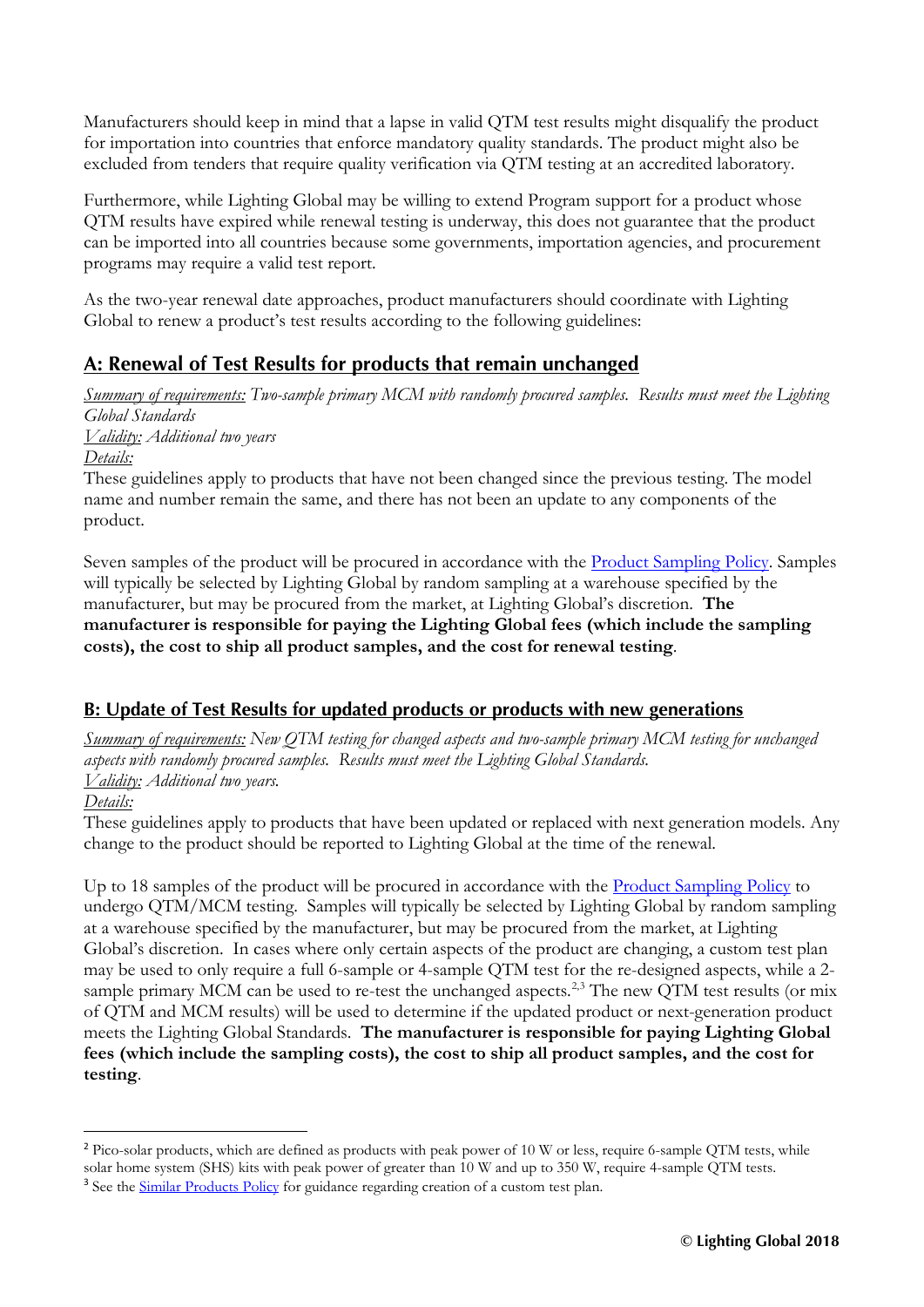Manufacturers should keep in mind that a lapse in valid QTM test results might disqualify the product for importation into countries that enforce mandatory quality standards. The product might also be excluded from tenders that require quality verification via QTM testing at an accredited laboratory.

Furthermore, while Lighting Global may be willing to extend Program support for a product whose QTM results have expired while renewal testing is underway, this does not guarantee that the product can be imported into all countries because some governments, importation agencies, and procurement programs may require a valid test report.

As the two-year renewal date approaches, product manufacturers should coordinate with Lighting Global to renew a product's test results according to the following guidelines:

## **A: Renewal of Test Results for products that remain unchanged**

*Summary of requirements: Two-sample primary MCM with randomly procured samples. Results must meet the Lighting Global Standards Validity: Additional two years Details:*

These guidelines apply to products that have not been changed since the previous testing. The model name and number remain the same, and there has not been an update to any components of the product.

Seven samples of the product will be procured in accordance with the [Product Sampling Policy.](https://www.lightingglobal.org/resource/product-sampling-policy/) Samples will typically be selected by Lighting Global by random sampling at a warehouse specified by the manufacturer, but may be procured from the market, at Lighting Global's discretion. **The manufacturer is responsible for paying the Lighting Global fees (which include the sampling costs), the cost to ship all product samples, and the cost for renewal testing**.

## **B: Update of Test Results for updated products or products with new generations**

*Summary of requirements: New QTM testing for changed aspects and two-sample primary MCM testing for unchanged aspects with randomly procured samples. Results must meet the Lighting Global Standards. Validity: Additional two years.*

*Details:*

These guidelines apply to products that have been updated or replaced with next generation models. Any change to the product should be reported to Lighting Global at the time of the renewal.

Up to 18 samples of the product will be procured in accordance with the <u>Product Sampling Policy</u> to undergo QTM/MCM testing. Samples will typically be selected by Lighting Global by random sampling at a warehouse specified by the manufacturer, but may be procured from the market, at Lighting Global's discretion. In cases where only certain aspects of the product are changing, a custom test plan may be used to only require a full 6-sample or 4-sample QTM test for the re-designed aspects, while a 2- sample primary MCM can be used to re-test the unchanged aspects.<sup>[2,](#page-1-0)[3](#page-1-1)</sup> The new QTM test results (or mix of QTM and MCM results) will be used to determine if the updated product or next-generation product meets the Lighting Global Standards. **The manufacturer is responsible for paying Lighting Global fees (which include the sampling costs), the cost to ship all product samples, and the cost for testing**.

<span id="page-1-1"></span><span id="page-1-0"></span><sup>&</sup>lt;sup>2</sup> Pico-solar products, which are defined as products with peak power of 10 W or less, require 6-sample OTM tests, while solar home system (SHS) kits with peak power of greater than 10 W and up to 350 W, require 4-sample QTM tests. <sup>3</sup> See the [Similar Products Policy](https://www.lightingglobal.org/resource/testing-similar-products-policy/) for guidance regarding creation of a custom test plan.